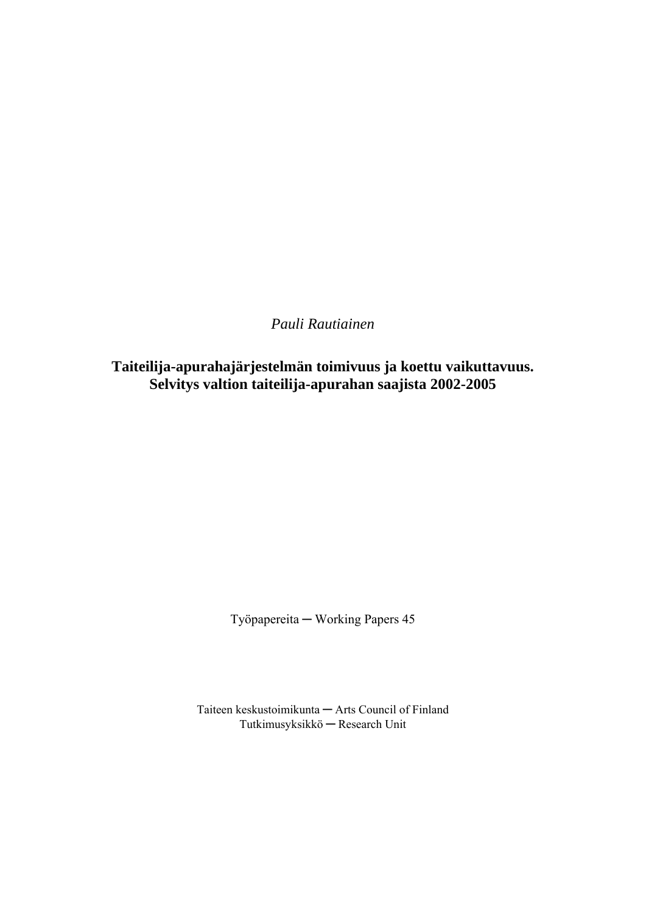*Pauli Rautiainen* 

**Taiteilija-apurahajärjestelmän toimivuus ja koettu vaikuttavuus. Selvitys valtion taiteilija-apurahan saajista 2002-2005** 

Työpapereita ─ Working Papers 45

Taiteen keskustoimikunta ─ Arts Council of Finland Tutkimusyksikkö ─ Research Unit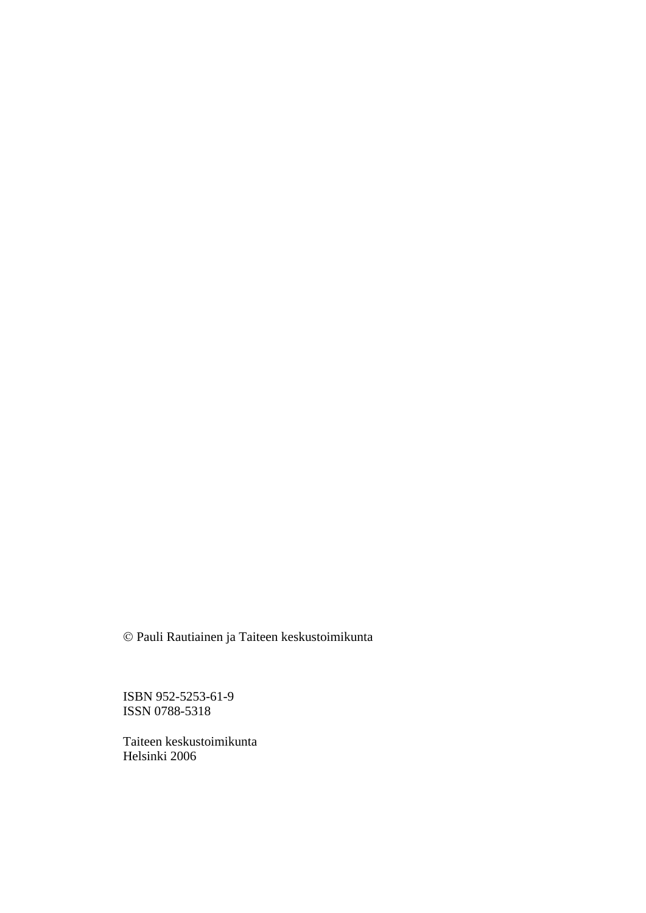© Pauli Rautiainen ja Taiteen keskustoimikunta

ISBN 952-5253-61-9 ISSN 0788-5318

Taiteen keskustoimikunta Helsinki 2006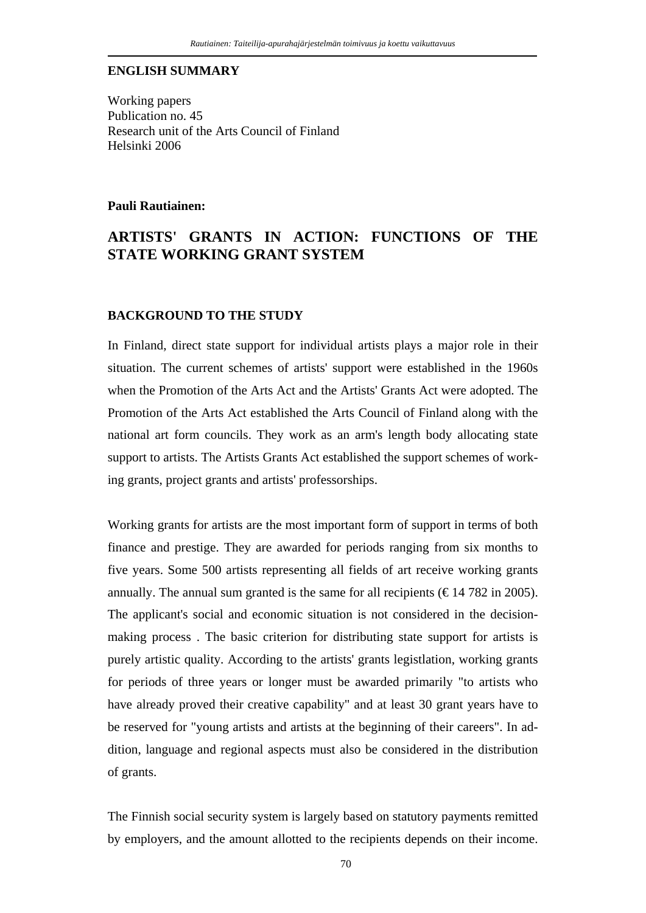#### **ENGLISH SUMMARY**

Working papers Publication no. 45 Research unit of the Arts Council of Finland Helsinki 2006

#### **Pauli Rautiainen:**

# **ARTISTS' GRANTS IN ACTION: FUNCTIONS OF THE STATE WORKING GRANT SYSTEM**

### **BACKGROUND TO THE STUDY**

In Finland, direct state support for individual artists plays a major role in their situation. The current schemes of artists' support were established in the 1960s when the Promotion of the Arts Act and the Artists' Grants Act were adopted. The Promotion of the Arts Act established the Arts Council of Finland along with the national art form councils. They work as an arm's length body allocating state support to artists. The Artists Grants Act established the support schemes of working grants, project grants and artists' professorships.

Working grants for artists are the most important form of support in terms of both finance and prestige. They are awarded for periods ranging from six months to five years. Some 500 artists representing all fields of art receive working grants annually. The annual sum granted is the same for all recipients ( $\epsilon$ 14 782 in 2005). The applicant's social and economic situation is not considered in the decisionmaking process . The basic criterion for distributing state support for artists is purely artistic quality. According to the artists' grants legistlation, working grants for periods of three years or longer must be awarded primarily "to artists who have already proved their creative capability" and at least 30 grant years have to be reserved for "young artists and artists at the beginning of their careers". In addition, language and regional aspects must also be considered in the distribution of grants.

The Finnish social security system is largely based on statutory payments remitted by employers, and the amount allotted to the recipients depends on their income.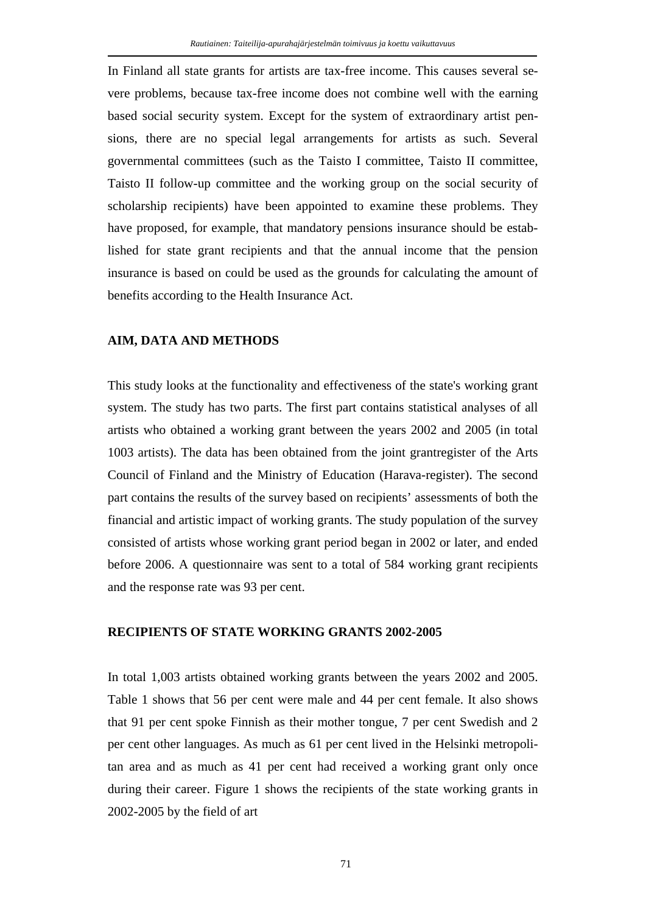In Finland all state grants for artists are tax-free income. This causes several severe problems, because tax-free income does not combine well with the earning based social security system. Except for the system of extraordinary artist pensions, there are no special legal arrangements for artists as such. Several governmental committees (such as the Taisto I committee, Taisto II committee, Taisto II follow-up committee and the working group on the social security of scholarship recipients) have been appointed to examine these problems. They have proposed, for example, that mandatory pensions insurance should be established for state grant recipients and that the annual income that the pension insurance is based on could be used as the grounds for calculating the amount of benefits according to the Health Insurance Act.

#### **AIM, DATA AND METHODS**

This study looks at the functionality and effectiveness of the state's working grant system. The study has two parts. The first part contains statistical analyses of all artists who obtained a working grant between the years 2002 and 2005 (in total 1003 artists). The data has been obtained from the joint grantregister of the Arts Council of Finland and the Ministry of Education (Harava-register). The second part contains the results of the survey based on recipients' assessments of both the financial and artistic impact of working grants. The study population of the survey consisted of artists whose working grant period began in 2002 or later, and ended before 2006. A questionnaire was sent to a total of 584 working grant recipients and the response rate was 93 per cent.

#### **RECIPIENTS OF STATE WORKING GRANTS 2002-2005**

In total 1,003 artists obtained working grants between the years 2002 and 2005. Table 1 shows that 56 per cent were male and 44 per cent female. It also shows that 91 per cent spoke Finnish as their mother tongue, 7 per cent Swedish and 2 per cent other languages. As much as 61 per cent lived in the Helsinki metropolitan area and as much as 41 per cent had received a working grant only once during their career. Figure 1 shows the recipients of the state working grants in 2002-2005 by the field of art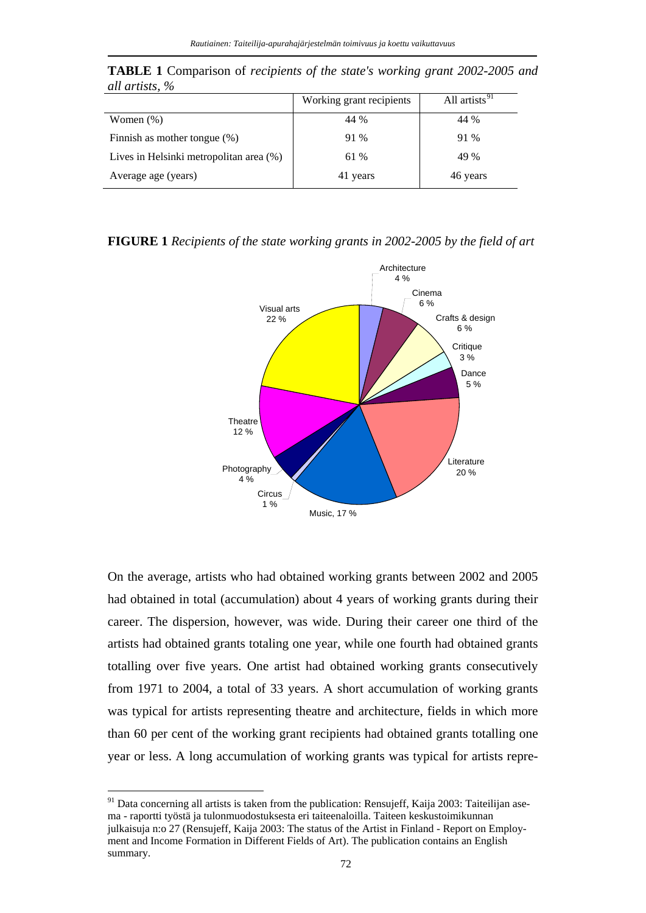|                                         | Working grant recipients | All artists $\overline{91}$ |
|-----------------------------------------|--------------------------|-----------------------------|
| Women $(\%)$                            | 44 %                     | 44 %                        |
| Finnish as mother tongue (%)            | 91 %                     | 91 %                        |
| Lives in Helsinki metropolitan area (%) | 61 %                     | 49 %                        |
| Average age (years)                     | 41 years                 | 46 years                    |

**TABLE 1** Comparison of *recipients of the state's working grant 2002-2005 and all artists, %* 

#### **FIGURE 1** *Recipients of the state working grants in 2002-2005 by the field of art*



On the average, artists who had obtained working grants between 2002 and 2005 had obtained in total (accumulation) about 4 years of working grants during their career. The dispersion, however, was wide. During their career one third of the artists had obtained grants totaling one year, while one fourth had obtained grants totalling over five years. One artist had obtained working grants consecutively from 1971 to 2004, a total of 33 years. A short accumulation of working grants was typical for artists representing theatre and architecture, fields in which more than 60 per cent of the working grant recipients had obtained grants totalling one year or less. A long accumulation of working grants was typical for artists repre-

 $\overline{a}$ 

<span id="page-4-0"></span><sup>&</sup>lt;sup>91</sup> Data concerning all artists is taken from the publication: Rensujeff, Kaija 2003: Taiteilijan asema - raportti työstä ja tulonmuodostuksesta eri taiteenaloilla. Taiteen keskustoimikunnan julkaisuja n:o 27 (Rensujeff, Kaija 2003: The status of the Artist in Finland - Report on Employment and Income Formation in Different Fields of Art). The publication contains an English summary.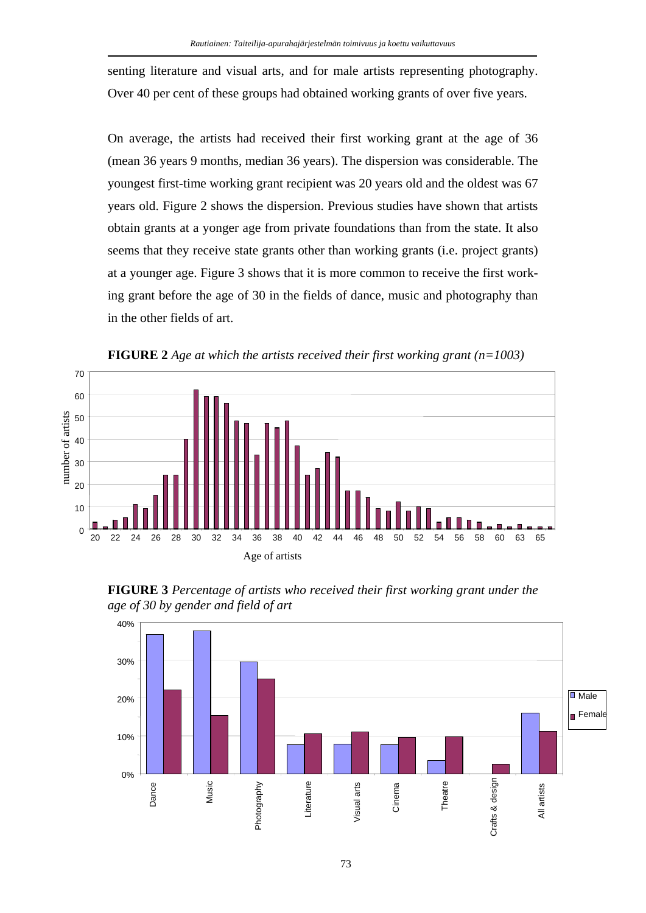senting literature and visual arts, and for male artists representing photography. Over 40 per cent of these groups had obtained working grants of over five years.

On average, the artists had received their first working grant at the age of 36 (mean 36 years 9 months, median 36 years). The dispersion was considerable. The youngest first-time working grant recipient was 20 years old and the oldest was 67 years old. Figure 2 shows the dispersion. Previous studies have shown that artists obtain grants at a yonger age from private foundations than from the state. It also seems that they receive state grants other than working grants (i.e. project grants) at a younger age. Figure 3 shows that it is more common to receive the first working grant before the age of 30 in the fields of dance, music and photography than in the other fields of art.







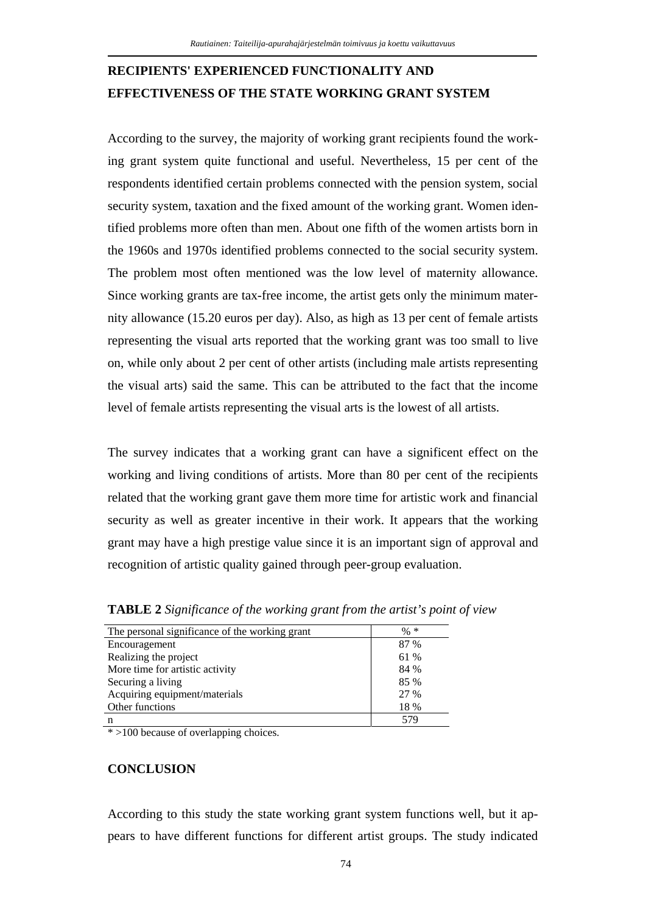# **RECIPIENTS' EXPERIENCED FUNCTIONALITY AND EFFECTIVENESS OF THE STATE WORKING GRANT SYSTEM**

According to the survey, the majority of working grant recipients found the working grant system quite functional and useful. Nevertheless, 15 per cent of the respondents identified certain problems connected with the pension system, social security system, taxation and the fixed amount of the working grant. Women identified problems more often than men. About one fifth of the women artists born in the 1960s and 1970s identified problems connected to the social security system. The problem most often mentioned was the low level of maternity allowance. Since working grants are tax-free income, the artist gets only the minimum maternity allowance (15.20 euros per day). Also, as high as 13 per cent of female artists representing the visual arts reported that the working grant was too small to live on, while only about 2 per cent of other artists (including male artists representing the visual arts) said the same. This can be attributed to the fact that the income level of female artists representing the visual arts is the lowest of all artists.

The survey indicates that a working grant can have a significent effect on the working and living conditions of artists. More than 80 per cent of the recipients related that the working grant gave them more time for artistic work and financial security as well as greater incentive in their work. It appears that the working grant may have a high prestige value since it is an important sign of approval and recognition of artistic quality gained through peer-group evaluation.

| The personal significance of the working grant | $\% *$ |
|------------------------------------------------|--------|
| Encouragement                                  | 87 %   |
| Realizing the project                          | 61 %   |
| More time for artistic activity                | 84 %   |
| Securing a living                              | 85 %   |
| Acquiring equipment/materials                  | 27 %   |
| Other functions                                | 18 %   |
| n                                              | 579    |

**TABLE 2** *Significance of the working grant from the artist's point of view* 

\* >100 because of overlapping choices.

## **CONCLUSION**

According to this study the state working grant system functions well, but it appears to have different functions for different artist groups. The study indicated